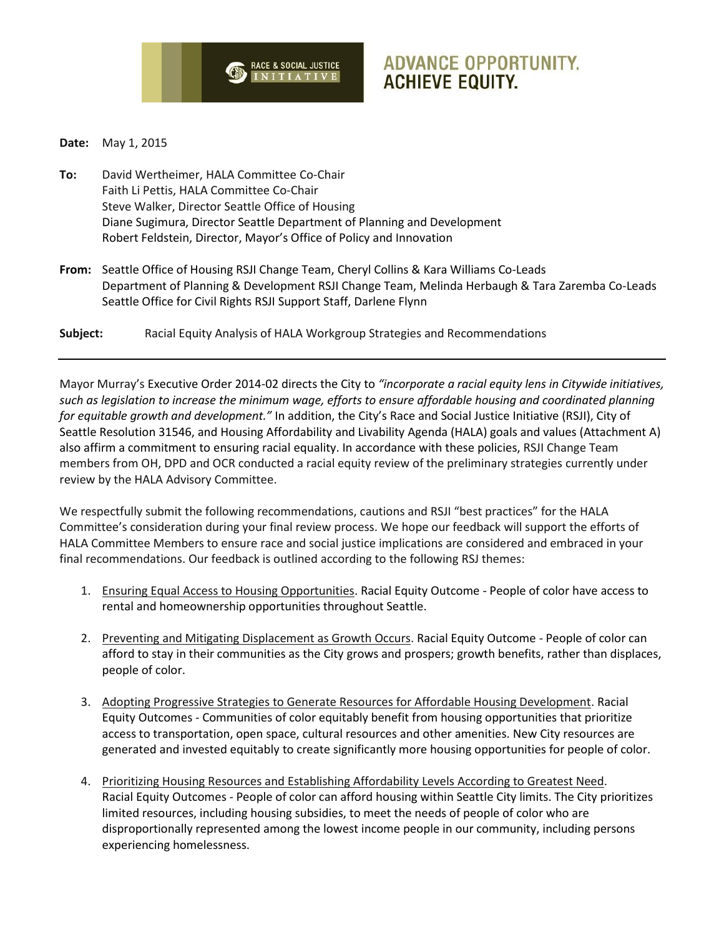

# **ADVANCE OPPORTUNITY. ACHIEVE EQUITY.**

**Date:** May 1, 2015

- **To:** David Wertheimer, HALA Committee Co-Chair Faith Li Pettis, HALA Committee Co-Chair Steve Walker, Director Seattle Office of Housing Diane Sugimura, Director Seattle Department of Planning and Development Robert Feldstein, Director, Mayor's Office of Policy and Innovation
- **From:** Seattle Office of Housing RSJI Change Team, Cheryl Collins & Kara Williams Co-Leads Department of Planning & Development RSJI Change Team, Melinda Herbaugh & Tara Zaremba Co-Leads Seattle Office for Civil Rights RSJI Support Staff, Darlene Flynn
- **Subject:** Racial Equity Analysis of HALA Workgroup Strategies and Recommendations

Mayor Murray's Executive Order 2014-02 directs the City to *"incorporate a racial equity lens in Citywide initiatives, such as legislation to increase the minimum wage, efforts to ensure affordable housing and coordinated planning for equitable growth and development."* In addition, the City's Race and Social Justice Initiative (RSJI), City of Seattle Resolution 31546, and Housing Affordability and Livability Agenda (HALA) goals and values (Attachment A) also affirm a commitment to ensuring racial equality. In accordance with these policies, RSJI Change Team members from OH, DPD and OCR conducted a racial equity review of the preliminary strategies currently under review by the HALA Advisory Committee.

We respectfully submit the following recommendations, cautions and RSJI "best practices" for the HALA Committee's consideration during your final review process. We hope our feedback will support the efforts of HALA Committee Members to ensure race and social justice implications are considered and embraced in your final recommendations. Our feedback is outlined according to the following RSJ themes:

- 1. Ensuring Equal Access to Housing Opportunities. Racial Equity Outcome People of color have access to rental and homeownership opportunities throughout Seattle.
- 2. Preventing and Mitigating Displacement as Growth Occurs. Racial Equity Outcome People of color can afford to stay in their communities as the City grows and prospers; growth benefits, rather than displaces, people of color.
- 3. Adopting Progressive Strategies to Generate Resources for Affordable Housing Development. Racial Equity Outcomes - Communities of color equitably benefit from housing opportunities that prioritize access to transportation, open space, cultural resources and other amenities. New City resources are generated and invested equitably to create significantly more housing opportunities for people of color.
- 4. Prioritizing Housing Resources and Establishing Affordability Levels According to Greatest Need. Racial Equity Outcomes - People of color can afford housing within Seattle City limits. The City prioritizes limited resources, including housing subsidies, to meet the needs of people of color who are disproportionally represented among the lowest income people in our community, including persons experiencing homelessness.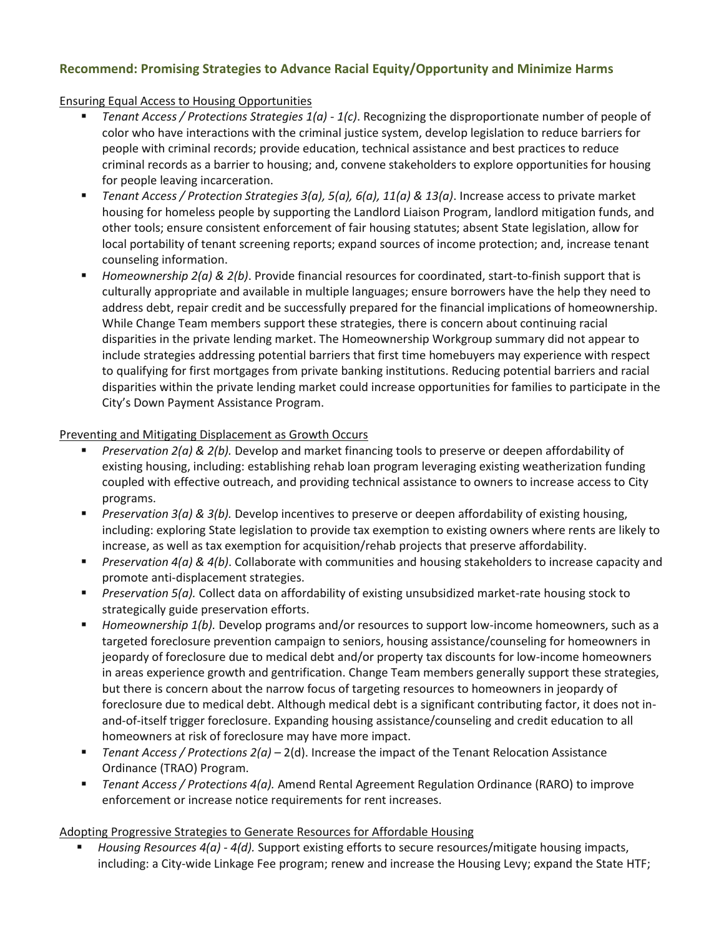# **Recommend: Promising Strategies to Advance Racial Equity/Opportunity and Minimize Harms**

## Ensuring Equal Access to Housing Opportunities

- *Tenant Access / Protections Strategies 1(a) - 1(c)*. Recognizing the disproportionate number of people of color who have interactions with the criminal justice system, develop legislation to reduce barriers for people with criminal records; provide education, technical assistance and best practices to reduce criminal records as a barrier to housing; and, convene stakeholders to explore opportunities for housing for people leaving incarceration.
- *Tenant Access / Protection Strategies 3(a), 5(a), 6(a), 11(a) & 13(a)*. Increase access to private market housing for homeless people by supporting the Landlord Liaison Program, landlord mitigation funds, and other tools; ensure consistent enforcement of fair housing statutes; absent State legislation, allow for local portability of tenant screening reports; expand sources of income protection; and, increase tenant counseling information.
- *Homeownership 2(a) & 2(b)*. Provide financial resources for coordinated, start-to-finish support that is culturally appropriate and available in multiple languages; ensure borrowers have the help they need to address debt, repair credit and be successfully prepared for the financial implications of homeownership. While Change Team members support these strategies, there is concern about continuing racial disparities in the private lending market. The Homeownership Workgroup summary did not appear to include strategies addressing potential barriers that first time homebuyers may experience with respect to qualifying for first mortgages from private banking institutions. Reducing potential barriers and racial disparities within the private lending market could increase opportunities for families to participate in the City's Down Payment Assistance Program.

## Preventing and Mitigating Displacement as Growth Occurs

- *Preservation 2(a) & 2(b).* Develop and market financing tools to preserve or deepen affordability of existing housing, including: establishing rehab loan program leveraging existing weatherization funding coupled with effective outreach, and providing technical assistance to owners to increase access to City programs.
- *Preservation 3(a) & 3(b).* Develop incentives to preserve or deepen affordability of existing housing, including: exploring State legislation to provide tax exemption to existing owners where rents are likely to increase, as well as tax exemption for acquisition/rehab projects that preserve affordability.
- *Preservation 4(a) & 4(b)*. Collaborate with communities and housing stakeholders to increase capacity and promote anti-displacement strategies.
- *Preservation 5(a).* Collect data on affordability of existing unsubsidized market-rate housing stock to strategically guide preservation efforts.
- *Homeownership 1(b).* Develop programs and/or resources to support low-income homeowners, such as a targeted foreclosure prevention campaign to seniors, housing assistance/counseling for homeowners in jeopardy of foreclosure due to medical debt and/or property tax discounts for low-income homeowners in areas experience growth and gentrification. Change Team members generally support these strategies, but there is concern about the narrow focus of targeting resources to homeowners in jeopardy of foreclosure due to medical debt. Although medical debt is a significant contributing factor, it does not inand-of-itself trigger foreclosure. Expanding housing assistance/counseling and credit education to all homeowners at risk of foreclosure may have more impact.
- *Tenant Access / Protections 2(a) –* 2(d). Increase the impact of the Tenant Relocation Assistance Ordinance (TRAO) Program.
- *Tenant Access / Protections 4(a).* Amend Rental Agreement Regulation Ordinance (RARO) to improve enforcement or increase notice requirements for rent increases.

## Adopting Progressive Strategies to Generate Resources for Affordable Housing

▪ *Housing Resources 4(a) - 4(d).* Support existing efforts to secure resources/mitigate housing impacts, including: a City-wide Linkage Fee program; renew and increase the Housing Levy; expand the State HTF;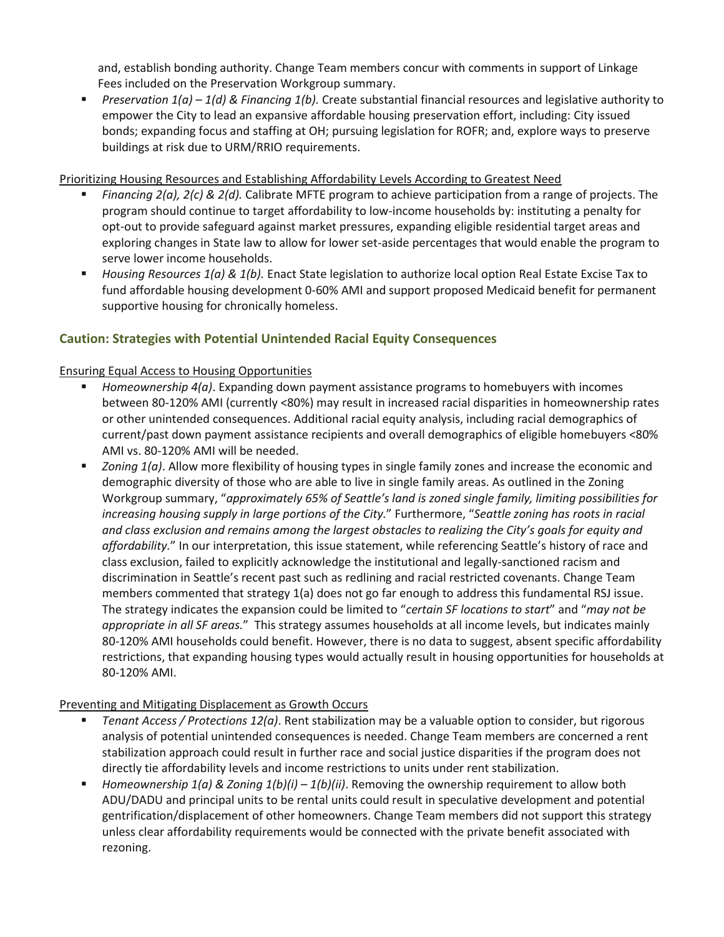and, establish bonding authority. Change Team members concur with comments in support of Linkage Fees included on the Preservation Workgroup summary.

■ *Preservation 1(a) − 1(d) & Financing 1(b).* Create substantial financial resources and legislative authority to empower the City to lead an expansive affordable housing preservation effort, including: City issued bonds; expanding focus and staffing at OH; pursuing legislation for ROFR; and, explore ways to preserve buildings at risk due to URM/RRIO requirements.

Prioritizing Housing Resources and Establishing Affordability Levels According to Greatest Need

- *Financing 2(a), 2(c) & 2(d).* Calibrate MFTE program to achieve participation from a range of projects. The program should continue to target affordability to low-income households by: instituting a penalty for opt-out to provide safeguard against market pressures, expanding eligible residential target areas and exploring changes in State law to allow for lower set-aside percentages that would enable the program to serve lower income households.
- *Housing Resources 1(a) & 1(b).* Enact State legislation to authorize local option Real Estate Excise Tax to fund affordable housing development 0-60% AMI and support proposed Medicaid benefit for permanent supportive housing for chronically homeless.

# **Caution: Strategies with Potential Unintended Racial Equity Consequences**

## Ensuring Equal Access to Housing Opportunities

- *Homeownership 4(a)*. Expanding down payment assistance programs to homebuyers with incomes between 80-120% AMI (currently <80%) may result in increased racial disparities in homeownership rates or other unintended consequences. Additional racial equity analysis, including racial demographics of current/past down payment assistance recipients and overall demographics of eligible homebuyers <80% AMI vs. 80-120% AMI will be needed.
- *Zoning 1(a)*. Allow more flexibility of housing types in single family zones and increase the economic and demographic diversity of those who are able to live in single family areas. As outlined in the Zoning Workgroup summary, "*approximately 65% of Seattle's land is zoned single family, limiting possibilities for increasing housing supply in large portions of the City.*" Furthermore, "*Seattle zoning has roots in racial and class exclusion and remains among the largest obstacles to realizing the City's goals for equity and affordability.*" In our interpretation, this issue statement, while referencing Seattle's history of race and class exclusion, failed to explicitly acknowledge the institutional and legally-sanctioned racism and discrimination in Seattle's recent past such as redlining and racial restricted covenants. Change Team members commented that strategy 1(a) does not go far enough to address this fundamental RSJ issue. The strategy indicates the expansion could be limited to "*certain SF locations to start*" and "*may not be appropriate in all SF areas.*" This strategy assumes households at all income levels, but indicates mainly 80-120% AMI households could benefit. However, there is no data to suggest, absent specific affordability restrictions, that expanding housing types would actually result in housing opportunities for households at 80-120% AMI.

#### Preventing and Mitigating Displacement as Growth Occurs

- *Tenant Access / Protections 12(a)*. Rent stabilization may be a valuable option to consider, but rigorous analysis of potential unintended consequences is needed. Change Team members are concerned a rent stabilization approach could result in further race and social justice disparities if the program does not directly tie affordability levels and income restrictions to units under rent stabilization.
- *Homeownership 1(a) & Zoning 1(b)(i) 1(b)(ii)*. Removing the ownership requirement to allow both ADU/DADU and principal units to be rental units could result in speculative development and potential gentrification/displacement of other homeowners. Change Team members did not support this strategy unless clear affordability requirements would be connected with the private benefit associated with rezoning.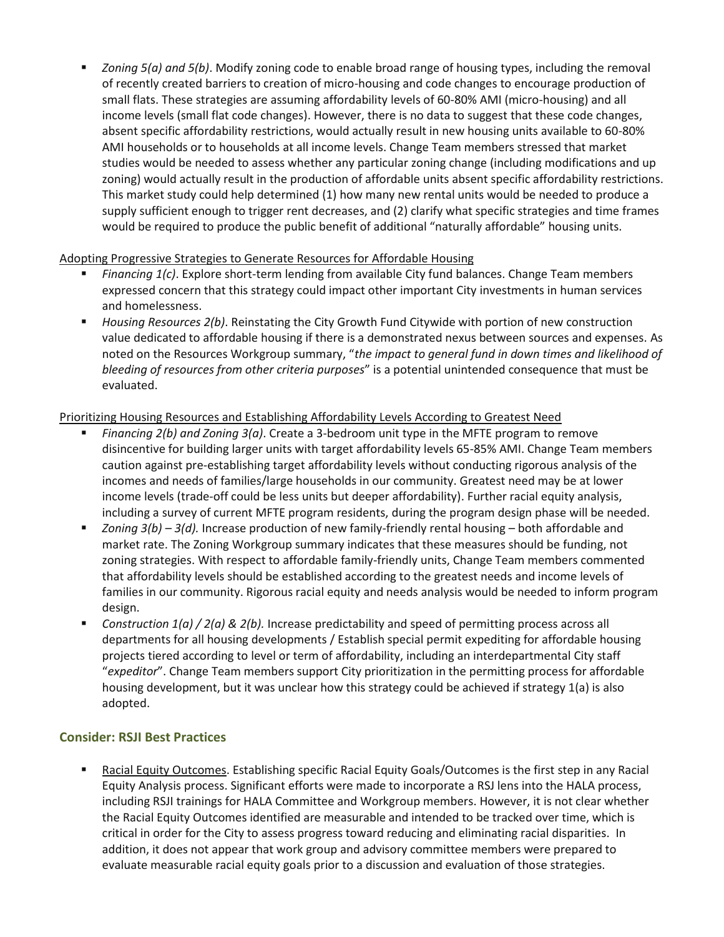■ *Zoning 5(a) and 5(b)*. Modify zoning code to enable broad range of housing types, including the removal of recently created barriers to creation of micro-housing and code changes to encourage production of small flats. These strategies are assuming affordability levels of 60-80% AMI (micro-housing) and all income levels (small flat code changes). However, there is no data to suggest that these code changes, absent specific affordability restrictions, would actually result in new housing units available to 60-80% AMI households or to households at all income levels. Change Team members stressed that market studies would be needed to assess whether any particular zoning change (including modifications and up zoning) would actually result in the production of affordable units absent specific affordability restrictions. This market study could help determined (1) how many new rental units would be needed to produce a supply sufficient enough to trigger rent decreases, and (2) clarify what specific strategies and time frames would be required to produce the public benefit of additional "naturally affordable" housing units.

## Adopting Progressive Strategies to Generate Resources for Affordable Housing

- *Financing 1(c)*. Explore short-term lending from available City fund balances. Change Team members expressed concern that this strategy could impact other important City investments in human services and homelessness.
- *Housing Resources 2(b)*. Reinstating the City Growth Fund Citywide with portion of new construction value dedicated to affordable housing if there is a demonstrated nexus between sources and expenses. As noted on the Resources Workgroup summary, "*the impact to general fund in down times and likelihood of bleeding of resources from other criteria purposes*" is a potential unintended consequence that must be evaluated.

## Prioritizing Housing Resources and Establishing Affordability Levels According to Greatest Need

- *Financing 2(b) and Zoning 3(a)*. Create a 3-bedroom unit type in the MFTE program to remove disincentive for building larger units with target affordability levels 65-85% AMI. Change Team members caution against pre-establishing target affordability levels without conducting rigorous analysis of the incomes and needs of families/large households in our community. Greatest need may be at lower income levels (trade-off could be less units but deeper affordability). Further racial equity analysis, including a survey of current MFTE program residents, during the program design phase will be needed.
- *Zoning 3(b) 3(d).* Increase production of new family-friendly rental housing both affordable and market rate. The Zoning Workgroup summary indicates that these measures should be funding, not zoning strategies. With respect to affordable family-friendly units, Change Team members commented that affordability levels should be established according to the greatest needs and income levels of families in our community. Rigorous racial equity and needs analysis would be needed to inform program design.
- *Construction 1(a) / 2(a) & 2(b).* Increase predictability and speed of permitting process across all departments for all housing developments / Establish special permit expediting for affordable housing projects tiered according to level or term of affordability, including an interdepartmental City staff "*expeditor*". Change Team members support City prioritization in the permitting process for affordable housing development, but it was unclear how this strategy could be achieved if strategy 1(a) is also adopted.

## **Consider: RSJI Best Practices**

▪ Racial Equity Outcomes. Establishing specific Racial Equity Goals/Outcomes is the first step in any Racial Equity Analysis process. Significant efforts were made to incorporate a RSJ lens into the HALA process, including RSJI trainings for HALA Committee and Workgroup members. However, it is not clear whether the Racial Equity Outcomes identified are measurable and intended to be tracked over time, which is critical in order for the City to assess progress toward reducing and eliminating racial disparities. In addition, it does not appear that work group and advisory committee members were prepared to evaluate measurable racial equity goals prior to a discussion and evaluation of those strategies.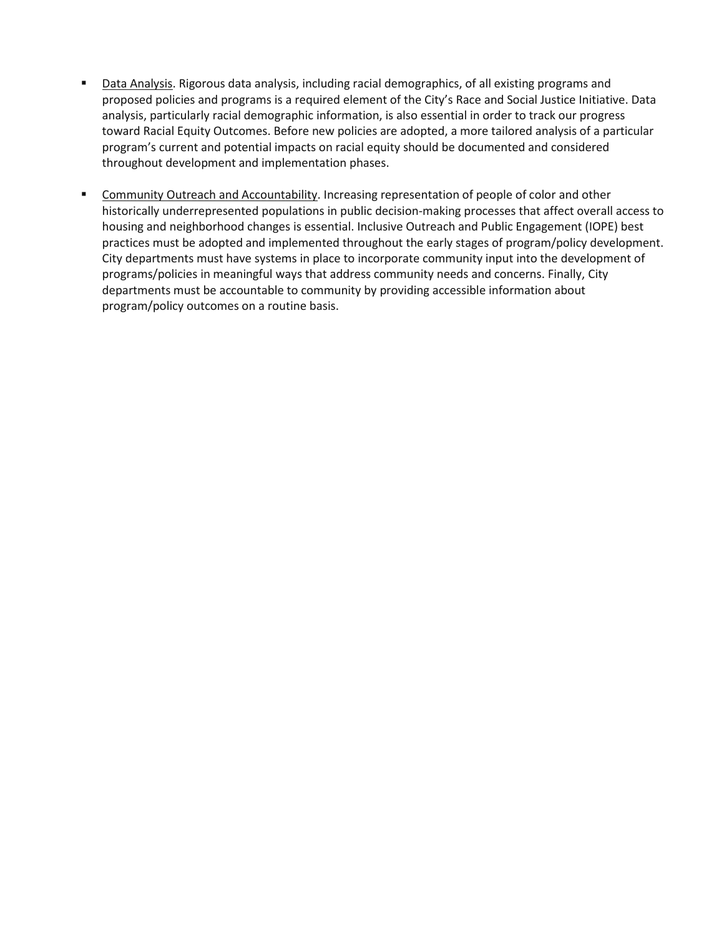- **Data Analysis. Rigorous data analysis, including racial demographics, of all existing programs and** proposed policies and programs is a required element of the City's Race and Social Justice Initiative. Data analysis, particularly racial demographic information, is also essential in order to track our progress toward Racial Equity Outcomes. Before new policies are adopted, a more tailored analysis of a particular program's current and potential impacts on racial equity should be documented and considered throughout development and implementation phases.
- Community Outreach and Accountability. Increasing representation of people of color and other historically underrepresented populations in public decision-making processes that affect overall access to housing and neighborhood changes is essential. Inclusive Outreach and Public Engagement (IOPE) best practices must be adopted and implemented throughout the early stages of program/policy development. City departments must have systems in place to incorporate community input into the development of programs/policies in meaningful ways that address community needs and concerns. Finally, City departments must be accountable to community by providing accessible information about program/policy outcomes on a routine basis.